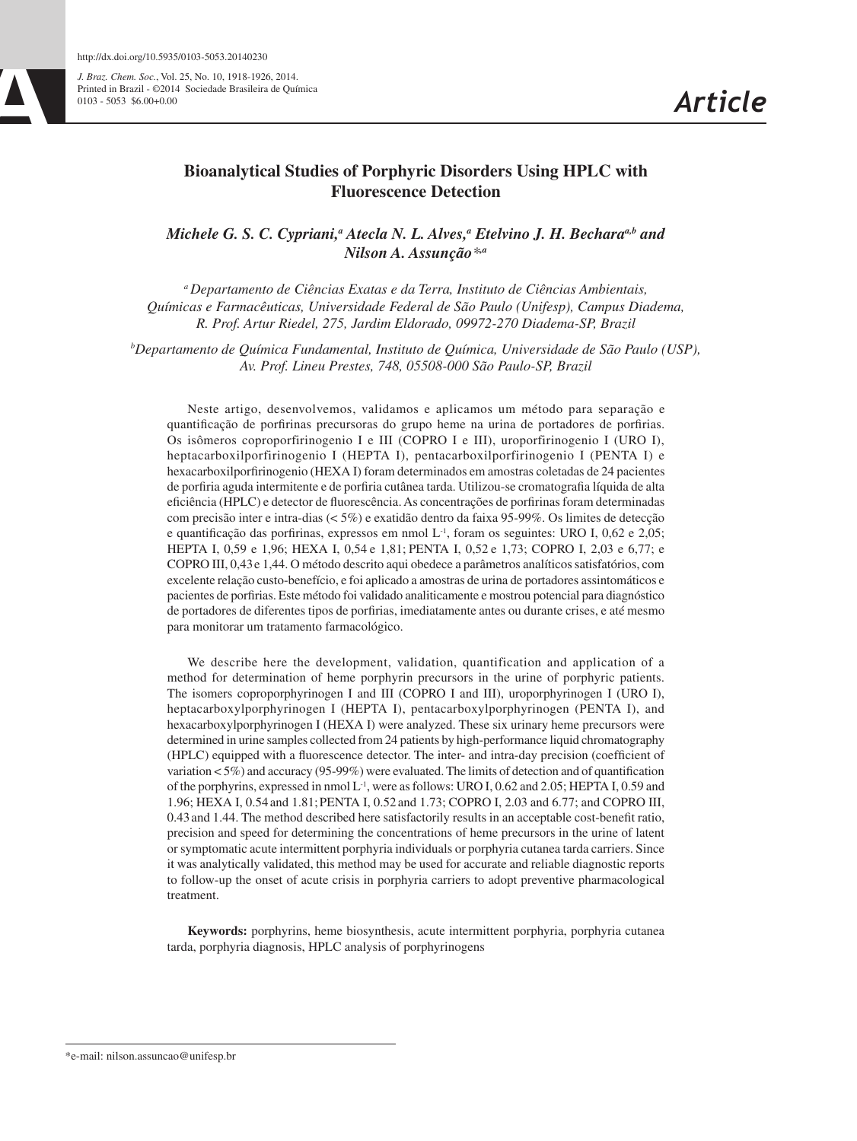*J. Braz. Chem. Soc.*, Vol. 25, No. 10, 1918-1926, 2014. http://dx.doi.org/10.5935/0103-5053.20140230<br> *J. Braz. Chem. Soc.*, Vol. 25, No. 10, 1918-1926, 2014.<br>
Printed in Brazil - ©2014 Sociedade Brasileira de Química<br>
0103 - 5053 \$6.00+0.00

# **Bioanalytical Studies of Porphyric Disorders Using HPLC with Fluorescence Detection**

*Michele G. S. C. Cypriani,<sup>a</sup> Atecla N. L. Alves,<sup>a</sup> Etelvino J. H. Bechara<sup>a,b</sup> and Nilson A. Assunção\*,a*

*a Departamento de Ciências Exatas e da Terra, Instituto de Ciências Ambientais, Químicas e Farmacêuticas, Universidade Federal de São Paulo (Unifesp), Campus Diadema, R. Prof. Artur Riedel, 275, Jardim Eldorado, 09972-270 Diadema-SP, Brazil*

*b Departamento de Química Fundamental, Instituto de Química, Universidade de São Paulo (USP), Av. Prof. Lineu Prestes, 748, 05508-000 São Paulo-SP, Brazil*

Neste artigo, desenvolvemos, validamos e aplicamos um método para separação e quantificação de porfirinas precursoras do grupo heme na urina de portadores de porfirias. Os isômeros coproporfirinogenio I e III (COPRO I e III), uroporfirinogenio I (URO I), heptacarboxilporfirinogenio I (HEPTA I), pentacarboxilporfirinogenio I (PENTA I) e hexacarboxilporfirinogenio (HEXA I) foram determinados em amostras coletadas de 24 pacientes de porfiria aguda intermitente e de porfiria cutânea tarda. Utilizou-se cromatografia líquida de alta eficiência (HPLC) e detector de fluorescência. As concentrações de porfirinas foram determinadas com precisão inter e intra-dias (< 5%) e exatidão dentro da faixa 95-99%. Os limites de detecção e quantificação das porfirinas, expressos em nmol L-1, foram os seguintes: URO I, 0,62 e 2,05; HEPTA I, 0,59 e 1,96; HEXA I, 0,54 e 1,81; PENTA I, 0,52 e 1,73; COPRO I, 2,03 e 6,77; e COPRO III, 0,43e 1,44. O método descrito aqui obedece a parâmetros analíticos satisfatórios, com excelente relação custo-benefício, e foi aplicado a amostras de urina de portadores assintomáticos e pacientes de porfirias. Este método foi validado analiticamente e mostrou potencial para diagnóstico de portadores de diferentes tipos de porfirias, imediatamente antes ou durante crises, e até mesmo para monitorar um tratamento farmacológico.

We describe here the development, validation, quantification and application of a method for determination of heme porphyrin precursors in the urine of porphyric patients. The isomers coproporphyrinogen I and III (COPRO I and III), uroporphyrinogen I (URO I), heptacarboxylporphyrinogen I (HEPTA I), pentacarboxylporphyrinogen (PENTA I), and hexacarboxylporphyrinogen I (HEXA I) were analyzed. These six urinary heme precursors were determined in urine samples collected from 24 patients by high-performance liquid chromatography (HPLC) equipped with a fluorescence detector. The inter- and intra-day precision (coefficient of variation  $<$  5%) and accuracy (95-99%) were evaluated. The limits of detection and of quantification of the porphyrins, expressed in nmol  $L^{-1}$ , were as follows: URO I, 0.62 and 2.05; HEPTA I, 0.59 and 1.96; HEXA I, 0.54 and 1.81;PENTA I, 0.52 and 1.73; COPRO I, 2.03 and 6.77; and COPRO III, 0.43and 1.44. The method described here satisfactorily results in an acceptable cost-benefit ratio, precision and speed for determining the concentrations of heme precursors in the urine of latent or symptomatic acute intermittent porphyria individuals or porphyria cutanea tarda carriers. Since it was analytically validated, this method may be used for accurate and reliable diagnostic reports to follow-up the onset of acute crisis in porphyria carriers to adopt preventive pharmacological treatment.

**Keywords:** porphyrins, heme biosynthesis, acute intermittent porphyria, porphyria cutanea tarda, porphyria diagnosis, HPLC analysis of porphyrinogens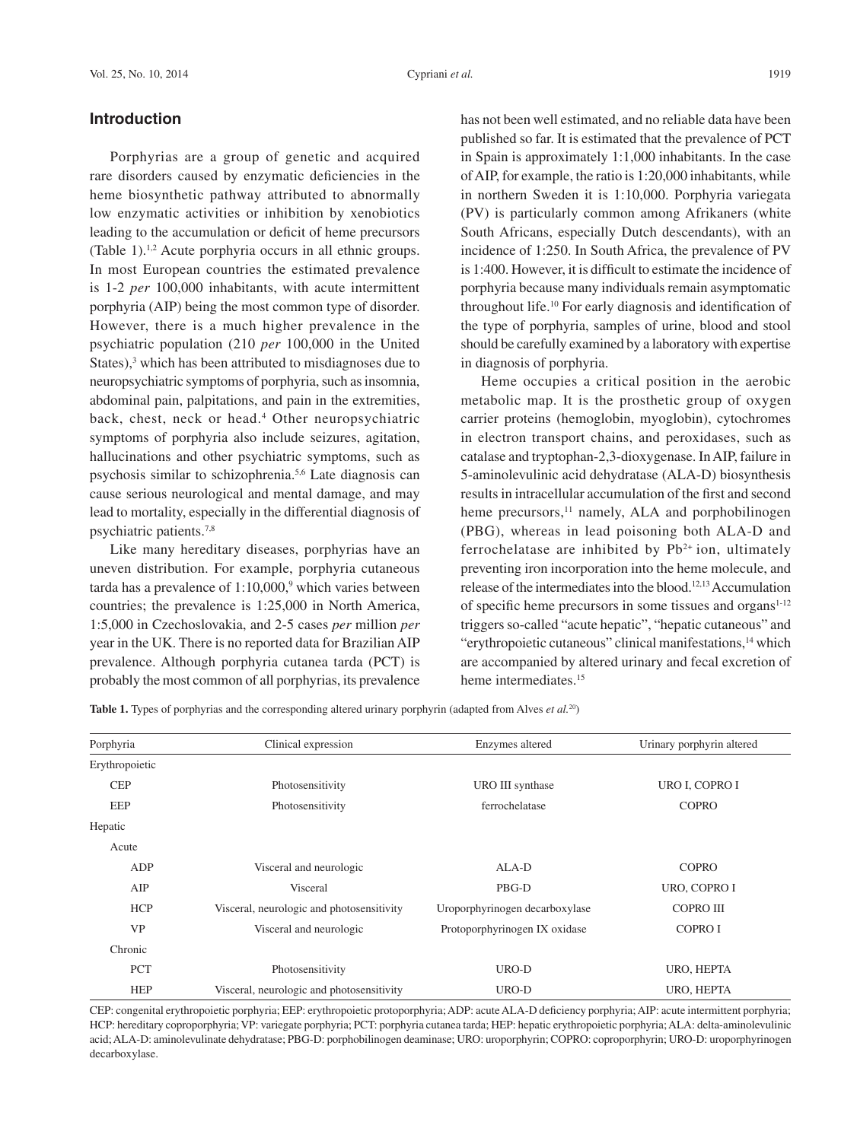### **Introduction**

Porphyrias are a group of genetic and acquired rare disorders caused by enzymatic deficiencies in the heme biosynthetic pathway attributed to abnormally low enzymatic activities or inhibition by xenobiotics leading to the accumulation or deficit of heme precursors (Table 1).1,2 Acute porphyria occurs in all ethnic groups. In most European countries the estimated prevalence is 1-2 *per* 100,000 inhabitants, with acute intermittent porphyria (AIP) being the most common type of disorder. However, there is a much higher prevalence in the psychiatric population (210 *per* 100,000 in the United States),<sup>3</sup> which has been attributed to misdiagnoses due to neuropsychiatric symptoms of porphyria, such as insomnia, abdominal pain, palpitations, and pain in the extremities, back, chest, neck or head.4 Other neuropsychiatric symptoms of porphyria also include seizures, agitation, hallucinations and other psychiatric symptoms, such as psychosis similar to schizophrenia.5,6 Late diagnosis can cause serious neurological and mental damage, and may lead to mortality, especially in the differential diagnosis of psychiatric patients.7,8

Like many hereditary diseases, porphyrias have an uneven distribution. For example, porphyria cutaneous tarda has a prevalence of  $1:10,000$ ,<sup>9</sup> which varies between countries; the prevalence is 1:25,000 in North America, 1:5,000 in Czechoslovakia, and 2-5 cases *per* million *per* year in the UK. There is no reported data for Brazilian AIP prevalence. Although porphyria cutanea tarda (PCT) is probably the most common of all porphyrias, its prevalence

has not been well estimated, and no reliable data have been published so far. It is estimated that the prevalence of PCT in Spain is approximately 1:1,000 inhabitants. In the case of AIP, for example, the ratio is 1:20,000 inhabitants, while in northern Sweden it is 1:10,000. Porphyria variegata (PV) is particularly common among Afrikaners (white South Africans, especially Dutch descendants), with an incidence of 1:250. In South Africa, the prevalence of PV is 1:400. However, it is difficult to estimate the incidence of porphyria because many individuals remain asymptomatic throughout life.10 For early diagnosis and identification of the type of porphyria, samples of urine, blood and stool should be carefully examined by a laboratory with expertise in diagnosis of porphyria.

Heme occupies a critical position in the aerobic metabolic map. It is the prosthetic group of oxygen carrier proteins (hemoglobin, myoglobin), cytochromes in electron transport chains, and peroxidases, such as catalase and tryptophan-2,3-dioxygenase. In AIP, failure in 5-aminolevulinic acid dehydratase (ALA-D) biosynthesis results in intracellular accumulation of the first and second heme precursors,<sup>11</sup> namely, ALA and porphobilinogen (PBG), whereas in lead poisoning both ALA-D and ferrochelatase are inhibited by  $Pb^{2+}$  ion, ultimately preventing iron incorporation into the heme molecule, and release of the intermediates into the blood.12,13 Accumulation of specific heme precursors in some tissues and organs<sup>1-12</sup> triggers so-called "acute hepatic", "hepatic cutaneous" and "erythropoietic cutaneous" clinical manifestations,<sup>14</sup> which are accompanied by altered urinary and fecal excretion of heme intermediates.<sup>15</sup>

| Porphyria      | Clinical expression                       | Enzymes altered                | Urinary porphyrin altered |  |  |
|----------------|-------------------------------------------|--------------------------------|---------------------------|--|--|
| Erythropoietic |                                           |                                |                           |  |  |
| <b>CEP</b>     | Photosensitivity                          | URO III synthase               | URO I, COPRO I            |  |  |
| EEP            | Photosensitivity                          | ferrochelatase                 | <b>COPRO</b>              |  |  |
| Hepatic        |                                           |                                |                           |  |  |
| Acute          |                                           |                                |                           |  |  |
| ADP            | Visceral and neurologic                   | $AI.A-D$                       | <b>COPRO</b>              |  |  |
| AIP            | Visceral                                  | PBG-D                          | URO, COPRO I              |  |  |
| <b>HCP</b>     | Visceral, neurologic and photosensitivity | Uroporphyrinogen decarboxylase | COPRO III                 |  |  |
| <b>VP</b>      | Visceral and neurologic                   | Protoporphyrinogen IX oxidase  | COPRO I                   |  |  |
| Chronic        |                                           |                                |                           |  |  |
| <b>PCT</b>     | Photosensitivity                          | URO-D                          | URO, HEPTA                |  |  |
| <b>HEP</b>     | Visceral, neurologic and photosensitivity | URO-D                          | URO, HEPTA                |  |  |

**Table 1.** Types of porphyrias and the corresponding altered urinary porphyrin (adapted from Alves *et al.*20)

CEP: congenital erythropoietic porphyria; EEP: erythropoietic protoporphyria; ADP: acute ALA-D deficiency porphyria; AIP: acute intermittent porphyria; HCP: hereditary coproporphyria; VP: variegate porphyria; PCT: porphyria cutanea tarda; HEP: hepatic erythropoietic porphyria; ALA: delta-aminolevulinic acid; ALA-D: aminolevulinate dehydratase; PBG-D: porphobilinogen deaminase; URO: uroporphyrin; COPRO: coproporphyrin; URO-D: uroporphyrinogen decarboxylase.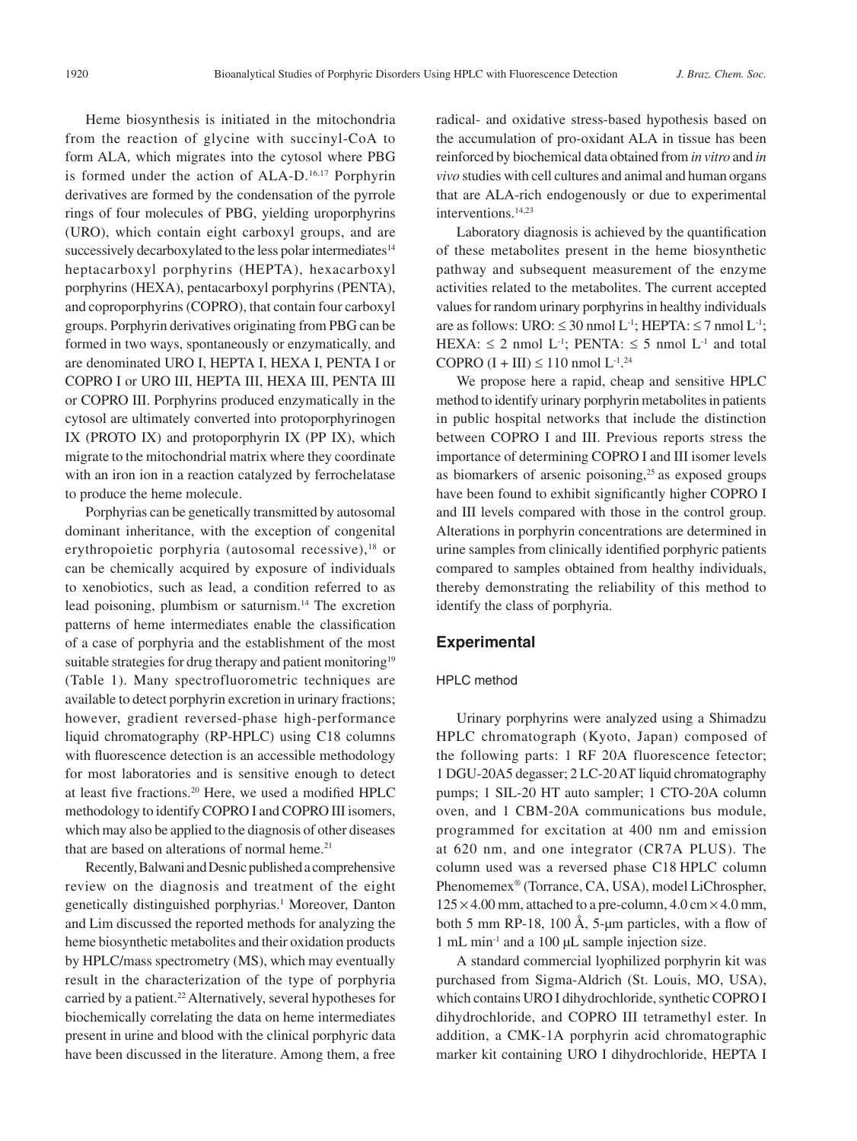Heme biosynthesis is initiated in the mitochondria from the reaction of glycine with succinyl-CoA to form ALA, which migrates into the cytosol where PBG is formed under the action of ALA-D.<sup>16,17</sup> Porphyrin derivatives are formed by the condensation of the pyrrole rings of four molecules of PBG, yielding uroporphyrins (URO), which contain eight carboxyl groups, and are successively decarboxylated to the less polar intermediates<sup>14</sup> heptacarboxyl porphyrins (HEPTA), hexacarboxyl porphyrins (HEXA), pentacarboxyl porphyrins (PENTA), and coproporphyrins (COPRO), that contain four carboxyl groups. Porphyrin derivatives originating from PBG can be formed in two ways, spontaneously or enzymatically, and are denominated URO I, HEPTA I, HEXA I, PENTA I or COPRO I or URO III, HEPTA III, HEXA III, PENTA III or COPRO III. Porphyrins produced enzymatically in the cytosol are ultimately converted into protoporphyrinogen IX (PROTO IX) and protoporphyrin IX (PP IX), which migrate to the mitochondrial matrix where they coordinate with an iron ion in a reaction catalyzed by ferrochelatase to produce the heme molecule.

Porphyrias can be genetically transmitted by autosomal dominant inheritance, with the exception of congenital erythropoietic porphyria (autosomal recessive),<sup>18</sup> or can be chemically acquired by exposure of individuals to xenobiotics, such as lead, a condition referred to as lead poisoning, plumbism or saturnism.14 The excretion patterns of heme intermediates enable the classification of a case of porphyria and the establishment of the most suitable strategies for drug therapy and patient monitoring<sup>19</sup> (Table 1). Many spectrofluorometric techniques are available to detect porphyrin excretion in urinary fractions; however, gradient reversed-phase high-performance liquid chromatography (RP-HPLC) using C18 columns with fluorescence detection is an accessible methodology for most laboratories and is sensitive enough to detect at least five fractions.20 Here, we used a modified HPLC methodology to identify COPRO I and COPRO III isomers, which may also be applied to the diagnosis of other diseases that are based on alterations of normal heme.<sup>21</sup>

Recently, Balwani and Desnic published a comprehensive review on the diagnosis and treatment of the eight genetically distinguished porphyrias.<sup>1</sup> Moreover, Danton and Lim discussed the reported methods for analyzing the heme biosynthetic metabolites and their oxidation products by HPLC/mass spectrometry (MS), which may eventually result in the characterization of the type of porphyria carried by a patient.<sup>22</sup> Alternatively, several hypotheses for biochemically correlating the data on heme intermediates present in urine and blood with the clinical porphyric data have been discussed in the literature. Among them, a free

radical- and oxidative stress-based hypothesis based on the accumulation of pro-oxidant ALA in tissue has been reinforced by biochemical data obtained from *in vitro* and *in vivo* studies with cell cultures and animal and human organs that are ALA-rich endogenously or due to experimental interventions.14,23

Laboratory diagnosis is achieved by the quantification of these metabolites present in the heme biosynthetic pathway and subsequent measurement of the enzyme activities related to the metabolites. The current accepted values for random urinary porphyrins in healthy individuals are as follows: URO:  $\leq 30$  nmol L<sup>-1</sup>; HEPTA:  $\leq 7$  nmol L<sup>-1</sup>; HEXA:  $\leq$  2 nmol L<sup>-1</sup>; PENTA:  $\leq$  5 nmol L<sup>-1</sup> and total COPRO  $(I + III) \le 110$  nmol  $L^{1,24}$ 

We propose here a rapid, cheap and sensitive HPLC method to identify urinary porphyrin metabolites in patients in public hospital networks that include the distinction between COPRO I and III. Previous reports stress the importance of determining COPRO I and III isomer levels as biomarkers of arsenic poisoning, $2<sup>5</sup>$  as exposed groups have been found to exhibit significantly higher COPRO I and III levels compared with those in the control group. Alterations in porphyrin concentrations are determined in urine samples from clinically identified porphyric patients compared to samples obtained from healthy individuals, thereby demonstrating the reliability of this method to identify the class of porphyria.

### **Experimental**

#### HPLC method

Urinary porphyrins were analyzed using a Shimadzu HPLC chromatograph (Kyoto, Japan) composed of the following parts: 1 RF 20A fluorescence fetector; 1 DGU-20A5 degasser; 2 LC-20 AT liquid chromatography pumps; 1 SIL-20 HT auto sampler; 1 CTO-20A column oven, and 1 CBM-20A communications bus module, programmed for excitation at 400 nm and emission at 620 nm, and one integrator (CR7A PLUS). The column used was a reversed phase C18 HPLC column Phenomemex® (Torrance, CA, USA), model LiChrospher,  $125 \times 4.00$  mm, attached to a pre-column,  $4.0 \text{ cm} \times 4.0$  mm, both 5 mm RP-18, 100 Å, 5- $\mu$ m particles, with a flow of 1 mL min-1 and a 100 µL sample injection size.

A standard commercial lyophilized porphyrin kit was purchased from Sigma-Aldrich (St. Louis, MO, USA), which contains URO I dihydrochloride, synthetic COPRO I dihydrochloride, and COPRO III tetramethyl ester. In addition, a CMK-1A porphyrin acid chromatographic marker kit containing URO I dihydrochloride, HEPTA I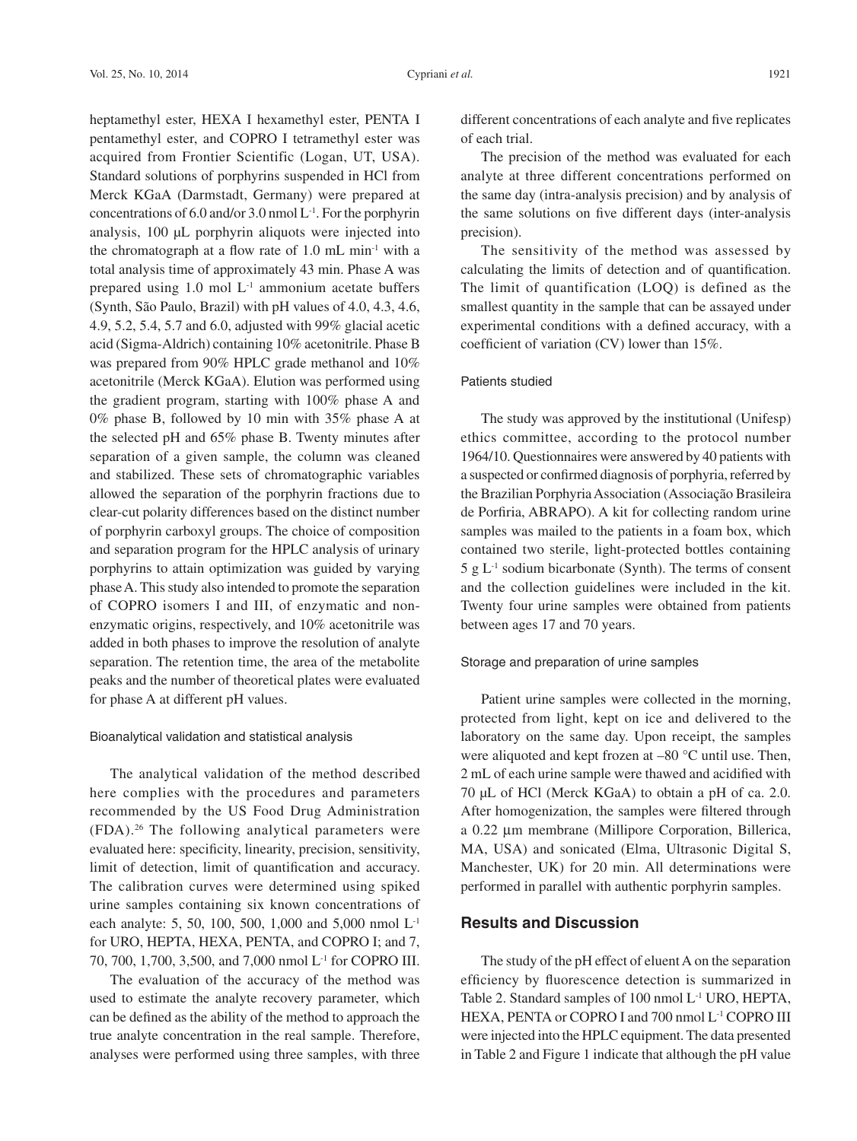heptamethyl ester, HEXA I hexamethyl ester, PENTA I pentamethyl ester, and COPRO I tetramethyl ester was acquired from Frontier Scientific (Logan, UT, USA). Standard solutions of porphyrins suspended in HCl from Merck KGaA (Darmstadt, Germany) were prepared at concentrations of 6.0 and/or 3.0 nmol  $L^{-1}$ . For the porphyrin analysis, 100 µL porphyrin aliquots were injected into the chromatograph at a flow rate of  $1.0$  mL min<sup>-1</sup> with a total analysis time of approximately 43 min. Phase A was prepared using  $1.0 \text{ mol } L^{-1}$  ammonium acetate buffers (Synth, São Paulo, Brazil) with pH values of 4.0, 4.3, 4.6, 4.9, 5.2, 5.4, 5.7 and 6.0, adjusted with 99% glacial acetic acid (Sigma-Aldrich) containing 10% acetonitrile. Phase B was prepared from 90% HPLC grade methanol and 10% acetonitrile (Merck KGaA). Elution was performed using the gradient program, starting with 100% phase A and 0% phase B, followed by 10 min with 35% phase A at the selected pH and 65% phase B. Twenty minutes after separation of a given sample, the column was cleaned and stabilized. These sets of chromatographic variables allowed the separation of the porphyrin fractions due to clear-cut polarity differences based on the distinct number of porphyrin carboxyl groups. The choice of composition and separation program for the HPLC analysis of urinary porphyrins to attain optimization was guided by varying phase A. This study also intended to promote the separation of COPRO isomers I and III, of enzymatic and nonenzymatic origins, respectively, and 10% acetonitrile was added in both phases to improve the resolution of analyte separation. The retention time, the area of the metabolite peaks and the number of theoretical plates were evaluated for phase A at different pH values.

#### Bioanalytical validation and statistical analysis

The analytical validation of the method described here complies with the procedures and parameters recommended by the US Food Drug Administration (FDA).26 The following analytical parameters were evaluated here: specificity, linearity, precision, sensitivity, limit of detection, limit of quantification and accuracy. The calibration curves were determined using spiked urine samples containing six known concentrations of each analyte: 5, 50, 100, 500, 1,000 and 5,000 nmol L-1 for URO, HEPTA, HEXA, PENTA, and COPRO I; and 7, 70, 700, 1,700, 3,500, and 7,000 nmol L-1 for COPRO III.

The evaluation of the accuracy of the method was used to estimate the analyte recovery parameter, which can be defined as the ability of the method to approach the true analyte concentration in the real sample. Therefore, analyses were performed using three samples, with three

different concentrations of each analyte and five replicates of each trial.

The precision of the method was evaluated for each analyte at three different concentrations performed on the same day (intra-analysis precision) and by analysis of the same solutions on five different days (inter-analysis precision).

The sensitivity of the method was assessed by calculating the limits of detection and of quantification. The limit of quantification (LOQ) is defined as the smallest quantity in the sample that can be assayed under experimental conditions with a defined accuracy, with a coefficient of variation (CV) lower than 15%.

### Patients studied

The study was approved by the institutional (Unifesp) ethics committee, according to the protocol number 1964/10. Questionnaires were answered by 40 patients with a suspected or confirmed diagnosis of porphyria, referred by the Brazilian Porphyria Association (Associação Brasileira de Porfiria, ABRAPO). A kit for collecting random urine samples was mailed to the patients in a foam box, which contained two sterile, light-protected bottles containing  $5 g L<sup>-1</sup>$  sodium bicarbonate (Synth). The terms of consent and the collection guidelines were included in the kit. Twenty four urine samples were obtained from patients between ages 17 and 70 years.

#### Storage and preparation of urine samples

Patient urine samples were collected in the morning, protected from light, kept on ice and delivered to the laboratory on the same day. Upon receipt, the samples were aliquoted and kept frozen at –80 °C until use. Then, 2 mL of each urine sample were thawed and acidified with 70 µL of HCl (Merck KGaA) to obtain a pH of ca. 2.0. After homogenization, the samples were filtered through a 0.22 µm membrane (Millipore Corporation, Billerica, MA, USA) and sonicated (Elma, Ultrasonic Digital S, Manchester, UK) for 20 min. All determinations were performed in parallel with authentic porphyrin samples.

# **Results and Discussion**

The study of the pH effect of eluent A on the separation efficiency by fluorescence detection is summarized in Table 2. Standard samples of 100 nmol L-1 URO, HEPTA, HEXA, PENTA or COPRO I and 700 nmol L-1 COPRO III were injected into the HPLC equipment. The data presented in Table 2 and Figure 1 indicate that although the pH value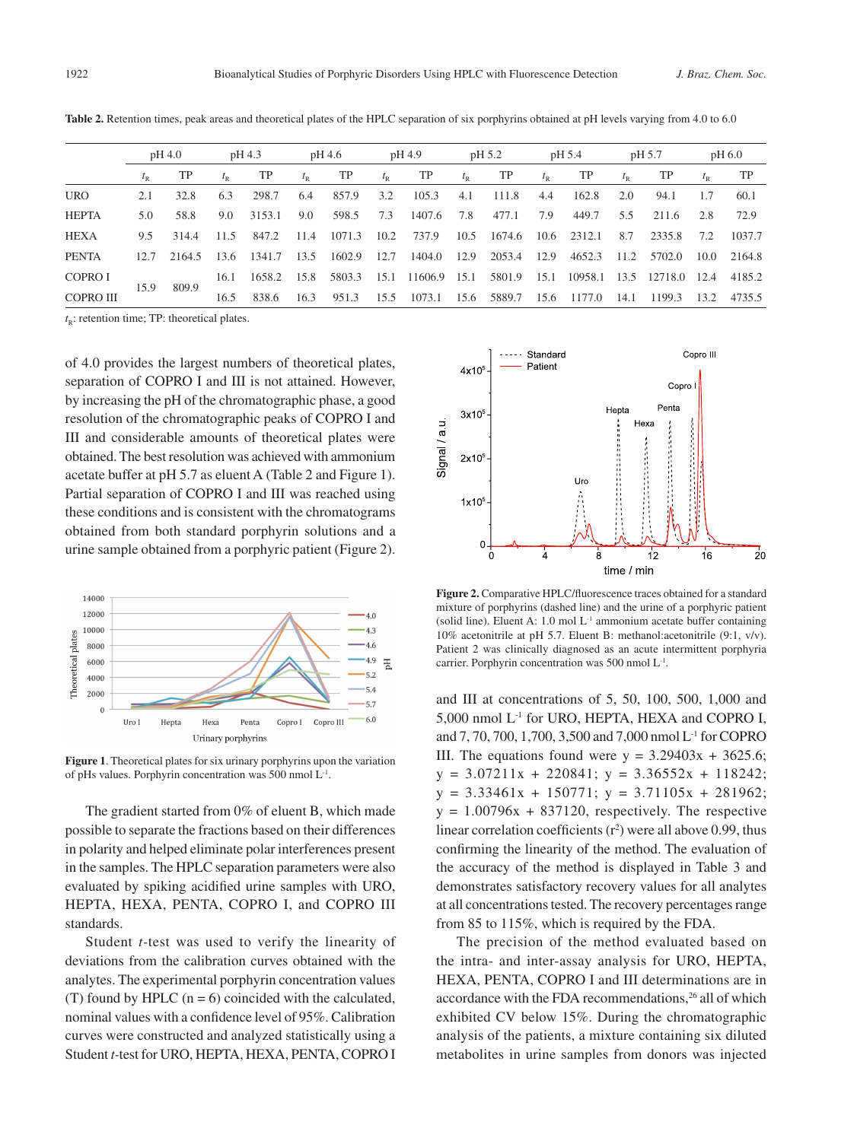|                  | pH 4.0 |        | pH 4.3 |        | pH 4.6 |        | pH 4.9      |         | pH 5.2      |        | pH 5.4 |         | pH 5.7 |         | pH 6.0 |        |
|------------------|--------|--------|--------|--------|--------|--------|-------------|---------|-------------|--------|--------|---------|--------|---------|--------|--------|
|                  |        | TP     |        | TP     |        | TP     | $t_{\rm R}$ | TP      | $t_{\rm R}$ | TP     |        | TP      |        | TP      |        | TP     |
| <b>URO</b>       | 2.1    | 32.8   | 6.3    | 298.7  | 6.4    | 857.9  | 3.2         | 105.3   | 4.1         | 111.8  | 4.4    | 162.8   | 2.0    | 94.1    | 1.7    | 60.1   |
| <b>HEPTA</b>     | 5.0    | 58.8   | 9.0    | 3153.1 | 9.0    | 598.5  | 7.3         | 1407.6  | 7.8         | 477.1  | 7.9    | 449.7   | 5.5    | 211.6   | 2.8    | 72.9   |
| <b>HEXA</b>      | 9.5    | 314.4  | 11.5   | 847.2  | 11.4   | 1071.3 | 10.2        | 737.9   | 10.5        | 1674.6 | 10.6   | 2312.1  | 8.7    | 2335.8  | 7.2    | 1037.7 |
| <b>PENTA</b>     | 12.7   | 2164.5 | 13.6   | 1341.7 | 13.5   | 1602.9 | 12.7        | 1404.0  | 12.9        | 2053.4 | 12.9   | 4652.3  | 11.2   | 5702.0  | 10.0   | 2164.8 |
| COPRO I          | 15.9   |        | 16.1   | 1658.2 | 15.8   | 5803.3 | 15.1        | 11606.9 | 15.1        | 5801.9 | 15.1   | 10958.1 | 13.5   | 12718.0 | 12.4   | 4185.2 |
| <b>COPRO III</b> |        | 809.9  | 16.5   | 838.6  | 16.3   | 951.3  | 15.5        | 1073.1  | 15.6        | 5889.7 | 15.6   | 1177.0  | 14.1   | 1199.3  | 13.2   | 4735.5 |

Table 2. Retention times, peak areas and theoretical plates of the HPLC separation of six porphyrins obtained at pH levels varying from 4.0 to 6.0

 $t_{R}$ : retention time; TP: theoretical plates.

of 4.0 provides the largest numbers of theoretical plates, separation of COPRO I and III is not attained. However, by increasing the pH of the chromatographic phase, a good resolution of the chromatographic peaks of COPRO I and III and considerable amounts of theoretical plates were obtained. The best resolution was achieved with ammonium acetate buffer at pH 5.7 as eluent A (Table 2 and Figure 1). Partial separation of COPRO I and III was reached using these conditions and is consistent with the chromatograms obtained from both standard porphyrin solutions and a urine sample obtained from a porphyric patient (Figure 2).



**Figure 1**. Theoretical plates for six urinary porphyrins upon the variation of pHs values. Porphyrin concentration was 500 nmol L-1.

The gradient started from 0% of eluent B, which made possible to separate the fractions based on their differences in polarity and helped eliminate polar interferences present in the samples. The HPLC separation parameters were also evaluated by spiking acidified urine samples with URO, HEPTA, HEXA, PENTA, COPRO I, and COPRO III standards.

Student *t-*test was used to verify the linearity of deviations from the calibration curves obtained with the analytes. The experimental porphyrin concentration values (T) found by HPLC  $(n = 6)$  coincided with the calculated, nominal values with a confidence level of 95%. Calibration curves were constructed and analyzed statistically using a Student *t-*test for URO, HEPTA, HEXA, PENTA, COPRO I



**Figure 2.** Comparative HPLC/fluorescence traces obtained for a standard mixture of porphyrins (dashed line) and the urine of a porphyric patient (solid line). Eluent A: 1.0 mol  $L<sup>-1</sup>$  ammonium acetate buffer containing 10% acetonitrile at pH 5.7. Eluent B: methanol:acetonitrile (9:1, v/v). Patient 2 was clinically diagnosed as an acute intermittent porphyria carrier. Porphyrin concentration was 500 nmol L-1.

and III at concentrations of 5, 50, 100, 500, 1,000 and 5,000 nmol L-1 for URO, HEPTA, HEXA and COPRO I, and 7, 70, 700, 1,700, 3,500 and 7,000 nmol L-1 for COPRO III. The equations found were  $y = 3.29403x + 3625.6$ ;  $y = 3.07211x + 220841$ ;  $y = 3.36552x + 118242$ ;  $y = 3.33461x + 150771$ ;  $y = 3.71105x + 281962$ ;  $y = 1.00796x + 837120$ , respectively. The respective linear correlation coefficients  $(r^2)$  were all above 0.99, thus confirming the linearity of the method. The evaluation of the accuracy of the method is displayed in Table 3 and demonstrates satisfactory recovery values for all analytes at all concentrations tested. The recovery percentages range from 85 to 115%, which is required by the FDA.

The precision of the method evaluated based on the intra- and inter-assay analysis for URO, HEPTA, HEXA, PENTA, COPRO I and III determinations are in accordance with the FDA recommendations,<sup>26</sup> all of which exhibited CV below 15%. During the chromatographic analysis of the patients, a mixture containing six diluted metabolites in urine samples from donors was injected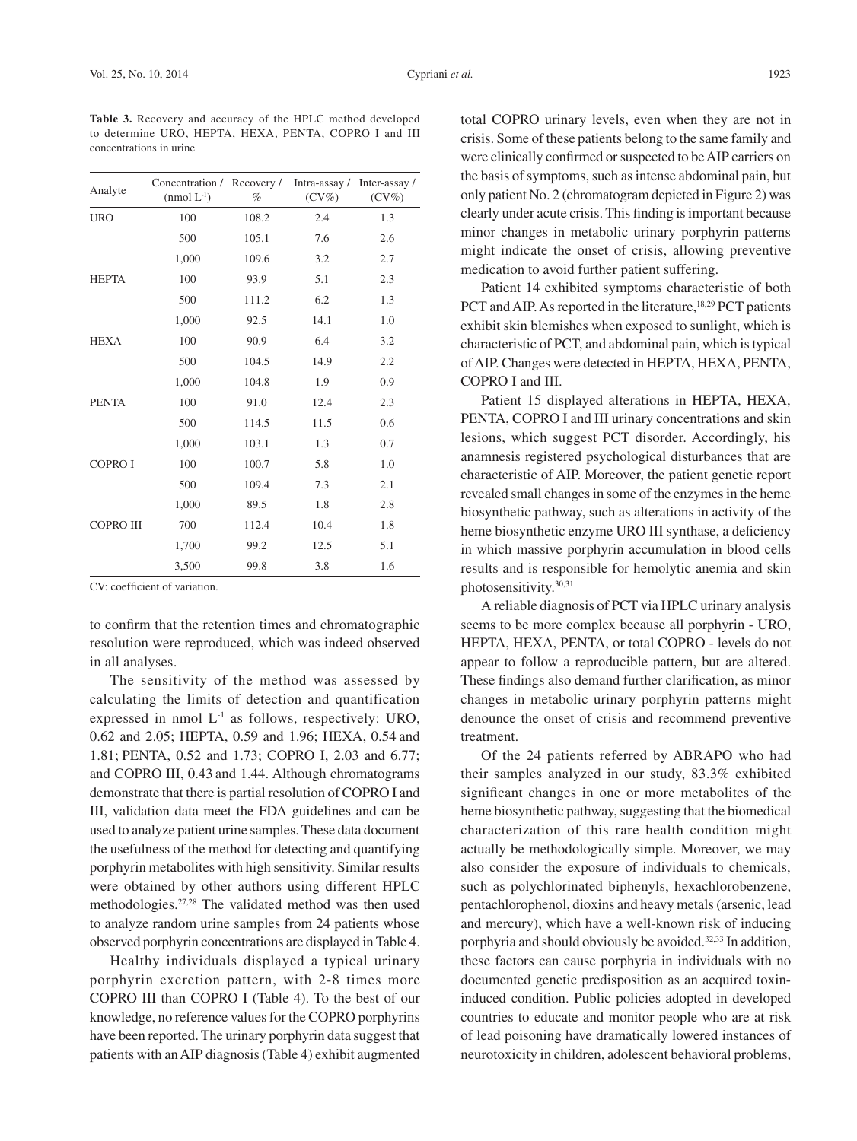concentrations in urine

| Analyte          | Concentration / Recovery /<br>$(nmol L^{-1})$ | $\%$  | Intra-assay /<br>$(CV\%)$ | Inter-assay /<br>$(CV\%)$ |
|------------------|-----------------------------------------------|-------|---------------------------|---------------------------|
| <b>URO</b>       | 100                                           | 108.2 | 2.4                       | 1.3                       |
|                  | 500                                           | 105.1 | 7.6                       | 2.6                       |
|                  | 1,000                                         | 109.6 | 3.2                       | 2.7                       |
| <b>HEPTA</b>     | 100                                           | 93.9  | 5.1                       | 2.3                       |
|                  | 500                                           | 111.2 | 6.2                       | 1.3                       |
|                  | 1,000                                         | 92.5  | 14.1                      | 1.0                       |
| <b>HEXA</b>      | 100                                           | 90.9  | 6.4                       | 3.2                       |
|                  | 500                                           | 104.5 | 14.9                      | 2.2                       |
|                  | 1,000                                         | 104.8 | 1.9                       | 0.9                       |
| <b>PENTA</b>     | 100                                           | 91.0  | 12.4                      | 2.3                       |
|                  | 500                                           | 114.5 | 11.5                      | 0.6                       |
|                  | 1,000                                         | 103.1 | 1.3                       | 0.7                       |
| <b>COPROI</b>    | 100                                           | 100.7 | 5.8                       | 1.0                       |
|                  | 500                                           | 109.4 | 7.3                       | 2.1                       |
|                  | 1,000                                         | 89.5  | 1.8                       | 2.8                       |
| <b>COPRO III</b> | 700                                           | 112.4 | 10.4                      | 1.8                       |
|                  | 1,700                                         | 99.2  | 12.5                      | 5.1                       |
|                  | 3,500                                         | 99.8  | 3.8                       | 1.6                       |

CV: coefficient of variation.

to confirm that the retention times and chromatographic resolution were reproduced, which was indeed observed in all analyses.

The sensitivity of the method was assessed by calculating the limits of detection and quantification expressed in nmol  $L<sup>1</sup>$  as follows, respectively: URO, 0.62 and 2.05; HEPTA, 0.59 and 1.96; HEXA, 0.54 and 1.81; PENTA, 0.52 and 1.73; COPRO I, 2.03 and 6.77; and COPRO III, 0.43 and 1.44. Although chromatograms demonstrate that there is partial resolution of COPRO I and III, validation data meet the FDA guidelines and can be used to analyze patient urine samples. These data document the usefulness of the method for detecting and quantifying porphyrin metabolites with high sensitivity. Similar results were obtained by other authors using different HPLC methodologies.27,28 The validated method was then used to analyze random urine samples from 24 patients whose observed porphyrin concentrations are displayed in Table 4.

Healthy individuals displayed a typical urinary porphyrin excretion pattern, with 2-8 times more COPRO III than COPRO I (Table 4). To the best of our knowledge, no reference values for the COPRO porphyrins have been reported. The urinary porphyrin data suggest that patients with an AIP diagnosis (Table 4) exhibit augmented total COPRO urinary levels, even when they are not in crisis. Some of these patients belong to the same family and were clinically confirmed or suspected to be AIP carriers on the basis of symptoms, such as intense abdominal pain, but only patient No. 2 (chromatogram depicted in Figure 2) was clearly under acute crisis. This finding is important because minor changes in metabolic urinary porphyrin patterns might indicate the onset of crisis, allowing preventive medication to avoid further patient suffering.

Patient 14 exhibited symptoms characteristic of both PCT and AIP. As reported in the literature,<sup>18,29</sup> PCT patients exhibit skin blemishes when exposed to sunlight, which is characteristic of PCT, and abdominal pain, which is typical of AIP. Changes were detected in HEPTA, HEXA, PENTA, COPRO I and III.

Patient 15 displayed alterations in HEPTA, HEXA, PENTA, COPRO I and III urinary concentrations and skin lesions, which suggest PCT disorder. Accordingly, his anamnesis registered psychological disturbances that are characteristic of AIP. Moreover, the patient genetic report revealed small changes in some of the enzymes in the heme biosynthetic pathway, such as alterations in activity of the heme biosynthetic enzyme URO III synthase, a deficiency in which massive porphyrin accumulation in blood cells results and is responsible for hemolytic anemia and skin photosensitivity.30,31

A reliable diagnosis of PCT via HPLC urinary analysis seems to be more complex because all porphyrin - URO, HEPTA, HEXA, PENTA, or total COPRO - levels do not appear to follow a reproducible pattern, but are altered. These findings also demand further clarification, as minor changes in metabolic urinary porphyrin patterns might denounce the onset of crisis and recommend preventive treatment.

Of the 24 patients referred by ABRAPO who had their samples analyzed in our study, 83.3% exhibited significant changes in one or more metabolites of the heme biosynthetic pathway, suggesting that the biomedical characterization of this rare health condition might actually be methodologically simple. Moreover, we may also consider the exposure of individuals to chemicals, such as polychlorinated biphenyls, hexachlorobenzene, pentachlorophenol, dioxins and heavy metals (arsenic, lead and mercury), which have a well-known risk of inducing porphyria and should obviously be avoided.<sup>32,33</sup> In addition, these factors can cause porphyria in individuals with no documented genetic predisposition as an acquired toxininduced condition. Public policies adopted in developed countries to educate and monitor people who are at risk of lead poisoning have dramatically lowered instances of neurotoxicity in children, adolescent behavioral problems,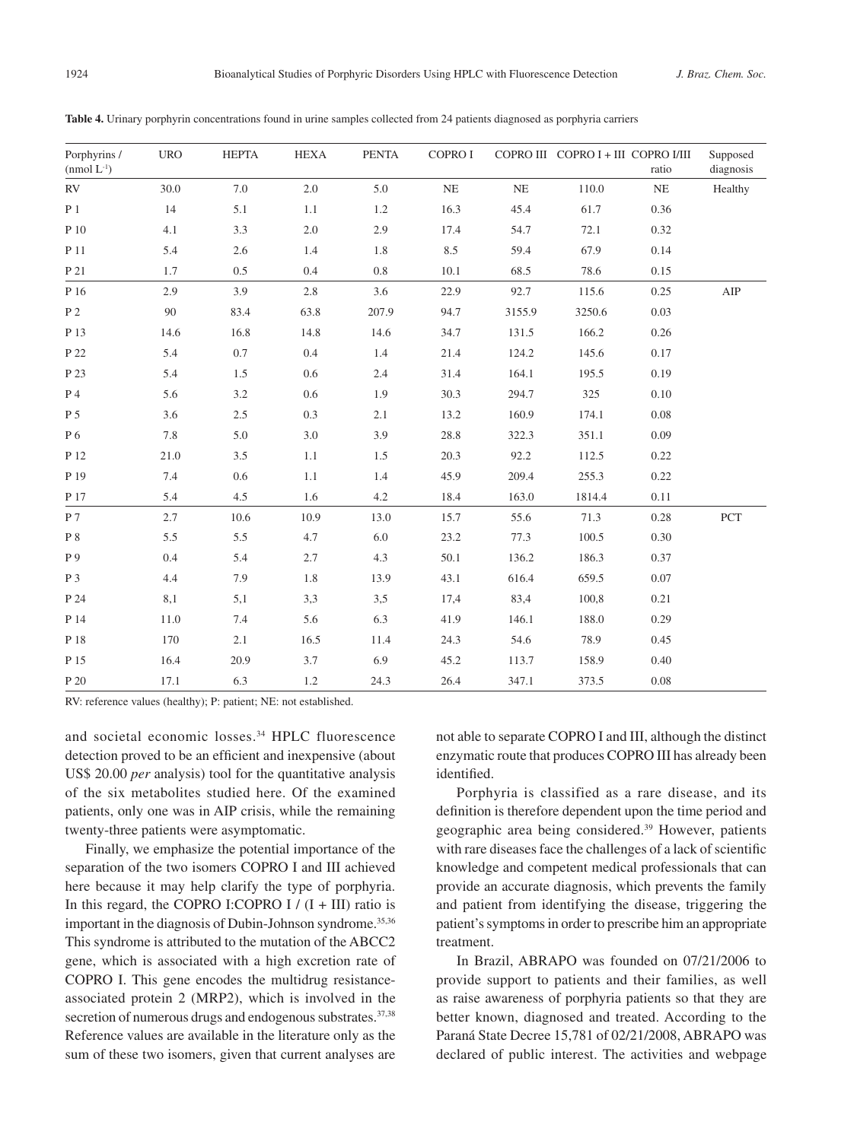| Porphyrins /<br>$(nmol L^{-1})$ | <b>URO</b> | <b>HEPTA</b> | <b>HEXA</b> | <b>PENTA</b> | COPRO I  |          | COPRO III COPRO I + III COPRO I/III | ratio | Supposed<br>diagnosis |
|---------------------------------|------------|--------------|-------------|--------------|----------|----------|-------------------------------------|-------|-----------------------|
| RV                              | 30.0       | $7.0\,$      | $2.0\,$     | 5.0          | $\rm NE$ | $\rm NE$ | 110.0                               | NE    | Healthy               |
| $P_1$                           | 14         | 5.1          | 1.1         | 1.2          | 16.3     | 45.4     | 61.7                                | 0.36  |                       |
| P 10                            | 4.1        | 3.3          | $2.0\,$     | 2.9          | 17.4     | 54.7     | 72.1                                | 0.32  |                       |
| P 11                            | 5.4        | 2.6          | 1.4         | 1.8          | 8.5      | 59.4     | 67.9                                | 0.14  |                       |
| P 21                            | 1.7        | 0.5          | 0.4         | 0.8          | 10.1     | 68.5     | 78.6                                | 0.15  |                       |
| P 16                            | 2.9        | 3.9          | $2.8\,$     | 3.6          | 22.9     | 92.7     | 115.6                               | 0.25  | AIP                   |
| P <sub>2</sub>                  | 90         | 83.4         | 63.8        | 207.9        | 94.7     | 3155.9   | 3250.6                              | 0.03  |                       |
| P 13                            | 14.6       | 16.8         | 14.8        | 14.6         | 34.7     | 131.5    | 166.2                               | 0.26  |                       |
| P 22                            | 5.4        | 0.7          | 0.4         | 1.4          | 21.4     | 124.2    | 145.6                               | 0.17  |                       |
| P 23                            | 5.4        | 1.5          | 0.6         | 2.4          | 31.4     | 164.1    | 195.5                               | 0.19  |                       |
| P 4                             | 5.6        | $3.2\,$      | 0.6         | 1.9          | 30.3     | 294.7    | 325                                 | 0.10  |                       |
| P 5                             | 3.6        | $2.5\,$      | 0.3         | 2.1          | 13.2     | 160.9    | 174.1                               | 0.08  |                       |
| P 6                             | 7.8        | 5.0          | 3.0         | 3.9          | 28.8     | 322.3    | 351.1                               | 0.09  |                       |
| P 12                            | 21.0       | 3.5          | 1.1         | 1.5          | 20.3     | 92.2     | 112.5                               | 0.22  |                       |
| P 19                            | 7.4        | 0.6          | 1.1         | 1.4          | 45.9     | 209.4    | 255.3                               | 0.22  |                       |
| P 17                            | 5.4        | 4.5          | 1.6         | 4.2          | 18.4     | 163.0    | 1814.4                              | 0.11  |                       |
| P 7                             | 2.7        | 10.6         | 10.9        | 13.0         | 15.7     | 55.6     | 71.3                                | 0.28  | $\operatorname{PCT}$  |
| $\rm P$ 8                       | 5.5        | 5.5          | 4.7         | $6.0\,$      | 23.2     | 77.3     | 100.5                               | 0.30  |                       |
| P 9                             | 0.4        | 5.4          | 2.7         | 4.3          | 50.1     | 136.2    | 186.3                               | 0.37  |                       |
| P 3                             | 4.4        | 7.9          | 1.8         | 13.9         | 43.1     | 616.4    | 659.5                               | 0.07  |                       |
| P 24                            | 8,1        | 5,1          | 3,3         | 3,5          | 17,4     | 83,4     | 100,8                               | 0.21  |                       |
| P 14                            | 11.0       | 7.4          | 5.6         | 6.3          | 41.9     | 146.1    | 188.0                               | 0.29  |                       |
| P 18                            | 170        | 2.1          | 16.5        | 11.4         | 24.3     | 54.6     | 78.9                                | 0.45  |                       |
| P 15                            | 16.4       | 20.9         | 3.7         | 6.9          | 45.2     | 113.7    | 158.9                               | 0.40  |                       |
| P 20                            | 17.1       | 6.3          | 1.2         | 24.3         | 26.4     | 347.1    | 373.5                               | 0.08  |                       |

**Table 4.** Urinary porphyrin concentrations found in urine samples collected from 24 patients diagnosed as porphyria carriers

RV: reference values (healthy); P: patient; NE: not established.

and societal economic losses.34 HPLC fluorescence detection proved to be an efficient and inexpensive (about US\$ 20.00 *per* analysis) tool for the quantitative analysis of the six metabolites studied here. Of the examined patients, only one was in AIP crisis, while the remaining twenty-three patients were asymptomatic.

Finally, we emphasize the potential importance of the separation of the two isomers COPRO I and III achieved here because it may help clarify the type of porphyria. In this regard, the COPRO I:COPRO I  $/(I + III)$  ratio is important in the diagnosis of Dubin-Johnson syndrome.<sup>35,36</sup> This syndrome is attributed to the mutation of the ABCC2 gene, which is associated with a high excretion rate of COPRO I. This gene encodes the multidrug resistanceassociated protein 2 (MRP2), which is involved in the secretion of numerous drugs and endogenous substrates.<sup>37,38</sup> Reference values are available in the literature only as the sum of these two isomers, given that current analyses are not able to separate COPRO I and III, although the distinct enzymatic route that produces COPRO III has already been identified.

Porphyria is classified as a rare disease, and its definition is therefore dependent upon the time period and geographic area being considered.39 However, patients with rare diseases face the challenges of a lack of scientific knowledge and competent medical professionals that can provide an accurate diagnosis, which prevents the family and patient from identifying the disease, triggering the patient's symptoms in order to prescribe him an appropriate treatment.

In Brazil, ABRAPO was founded on 07/21/2006 to provide support to patients and their families, as well as raise awareness of porphyria patients so that they are better known, diagnosed and treated. According to the Paraná State Decree 15,781 of 02/21/2008, ABRAPO was declared of public interest. The activities and webpage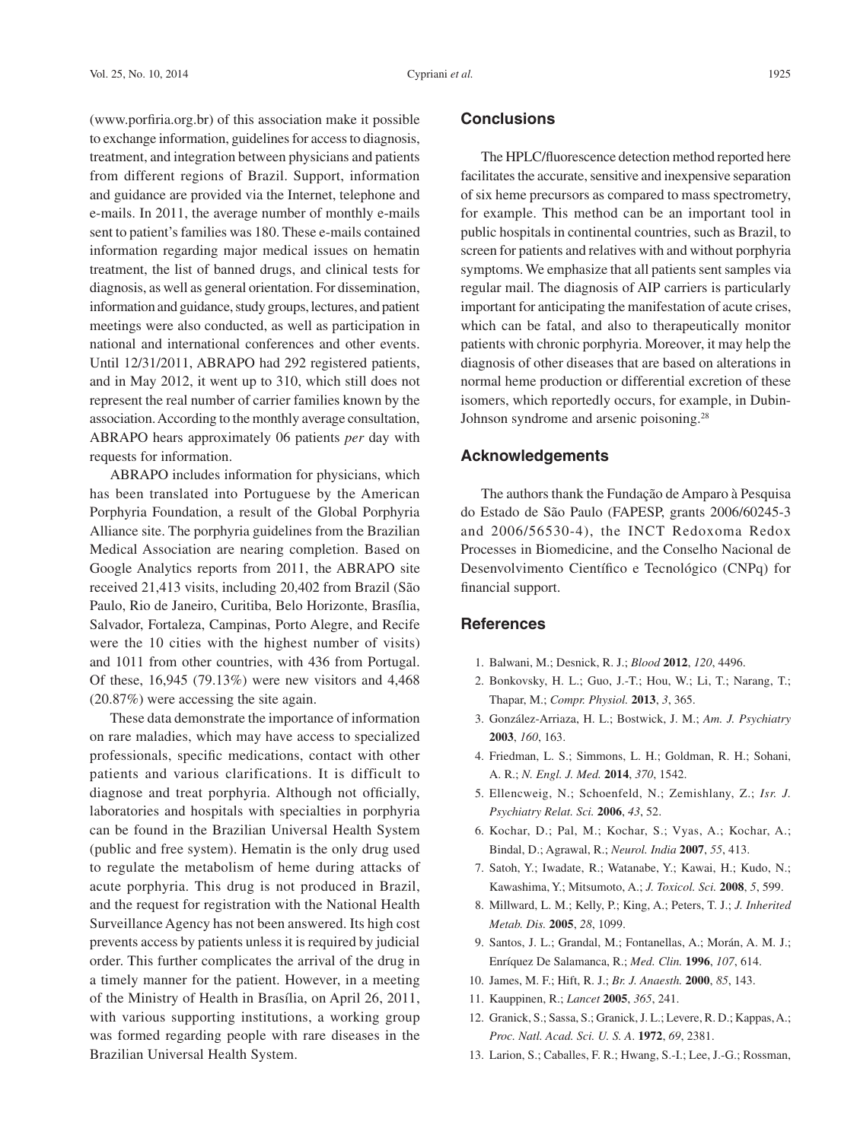(www.porfiria.org.br) of this association make it possible to exchange information, guidelines for access to diagnosis, treatment, and integration between physicians and patients from different regions of Brazil. Support, information and guidance are provided via the Internet, telephone and e-mails. In 2011, the average number of monthly e-mails sent to patient's families was 180. These e-mails contained information regarding major medical issues on hematin treatment, the list of banned drugs, and clinical tests for diagnosis, as well as general orientation. For dissemination, information and guidance, study groups, lectures, and patient meetings were also conducted, as well as participation in national and international conferences and other events. Until 12/31/2011, ABRAPO had 292 registered patients, and in May 2012, it went up to 310, which still does not represent the real number of carrier families known by the association. According to the monthly average consultation, ABRAPO hears approximately 06 patients *per* day with requests for information.

ABRAPO includes information for physicians, which has been translated into Portuguese by the American Porphyria Foundation, a result of the Global Porphyria Alliance site. The porphyria guidelines from the Brazilian Medical Association are nearing completion. Based on Google Analytics reports from 2011, the ABRAPO site received 21,413 visits, including 20,402 from Brazil (São Paulo, Rio de Janeiro, Curitiba, Belo Horizonte, Brasília, Salvador, Fortaleza, Campinas, Porto Alegre, and Recife were the 10 cities with the highest number of visits) and 1011 from other countries, with 436 from Portugal. Of these, 16,945 (79.13%) were new visitors and 4,468 (20.87%) were accessing the site again.

These data demonstrate the importance of information on rare maladies, which may have access to specialized professionals, specific medications, contact with other patients and various clarifications. It is difficult to diagnose and treat porphyria. Although not officially, laboratories and hospitals with specialties in porphyria can be found in the Brazilian Universal Health System (public and free system). Hematin is the only drug used to regulate the metabolism of heme during attacks of acute porphyria. This drug is not produced in Brazil, and the request for registration with the National Health Surveillance Agency has not been answered. Its high cost prevents access by patients unless it is required by judicial order. This further complicates the arrival of the drug in a timely manner for the patient. However, in a meeting of the Ministry of Health in Brasília, on April 26, 2011, with various supporting institutions, a working group was formed regarding people with rare diseases in the Brazilian Universal Health System.

### **Conclusions**

The HPLC/fluorescence detection method reported here facilitates the accurate, sensitive and inexpensive separation of six heme precursors as compared to mass spectrometry, for example. This method can be an important tool in public hospitals in continental countries, such as Brazil, to screen for patients and relatives with and without porphyria symptoms. We emphasize that all patients sent samples via regular mail. The diagnosis of AIP carriers is particularly important for anticipating the manifestation of acute crises, which can be fatal, and also to therapeutically monitor patients with chronic porphyria. Moreover, it may help the diagnosis of other diseases that are based on alterations in normal heme production or differential excretion of these isomers, which reportedly occurs, for example, in Dubin-Johnson syndrome and arsenic poisoning.28

## **Acknowledgements**

The authors thank the Fundação de Amparo à Pesquisa do Estado de São Paulo (FAPESP, grants 2006/60245-3 and 2006/56530-4), the INCT Redoxoma Redox Processes in Biomedicine, and the Conselho Nacional de Desenvolvimento Científico e Tecnológico (CNPq) for financial support.

### **References**

- 1. Balwani, M.; Desnick, R. J.; *Blood* **2012**, *120*, 4496.
- 2. Bonkovsky, H. L.; Guo, J.-T.; Hou, W.; Li, T.; Narang, T.; Thapar, M.; *Compr. Physiol.* **2013**, *3*, 365.
- 3. González-Arriaza, H. L.; Bostwick, J. M.; *Am. J. Psychiatry* **2003**, *160*, 163.
- 4. Friedman, L. S.; Simmons, L. H.; Goldman, R. H.; Sohani, A. R.; *N. Engl. J. Med.* **2014**, *370*, 1542.
- 5. Ellencweig, N.; Schoenfeld, N.; Zemishlany, Z.; *Isr. J. Psychiatry Relat. Sci.* **2006**, *43*, 52.
- 6. Kochar, D.; Pal, M.; Kochar, S.; Vyas, A.; Kochar, A.; Bindal, D.; Agrawal, R.; *Neurol. India* **2007**, *55*, 413.
- 7. Satoh, Y.; Iwadate, R.; Watanabe, Y.; Kawai, H.; Kudo, N.; Kawashima, Y.; Mitsumoto, A.; *J. Toxicol. Sci.* **2008**, *5*, 599.
- 8. Millward, L. M.; Kelly, P.; King, A.; Peters, T. J.; *J. Inherited Metab. Dis.* **2005**, *28*, 1099.
- 9. Santos, J. L.; Grandal, M.; Fontanellas, A.; Morán, A. M. J.; Enríquez De Salamanca, R.; *Med. Clin.* **1996**, *107*, 614.
- 10. James, M. F.; Hift, R. J.; *Br. J. Anaesth.* **2000**, *85*, 143.
- 11. Kauppinen, R.; *Lancet* **2005**, *365*, 241.
- 12. Granick, S.; Sassa, S.; Granick, J. L.; Levere, R. D.; Kappas,A.; *Proc. Natl. Acad. Sci. U. S. A*. **1972**, *69*, 2381.
- 13. Larion, S.; Caballes, F. R.; Hwang, S.-I.; Lee, J.-G.; Rossman,